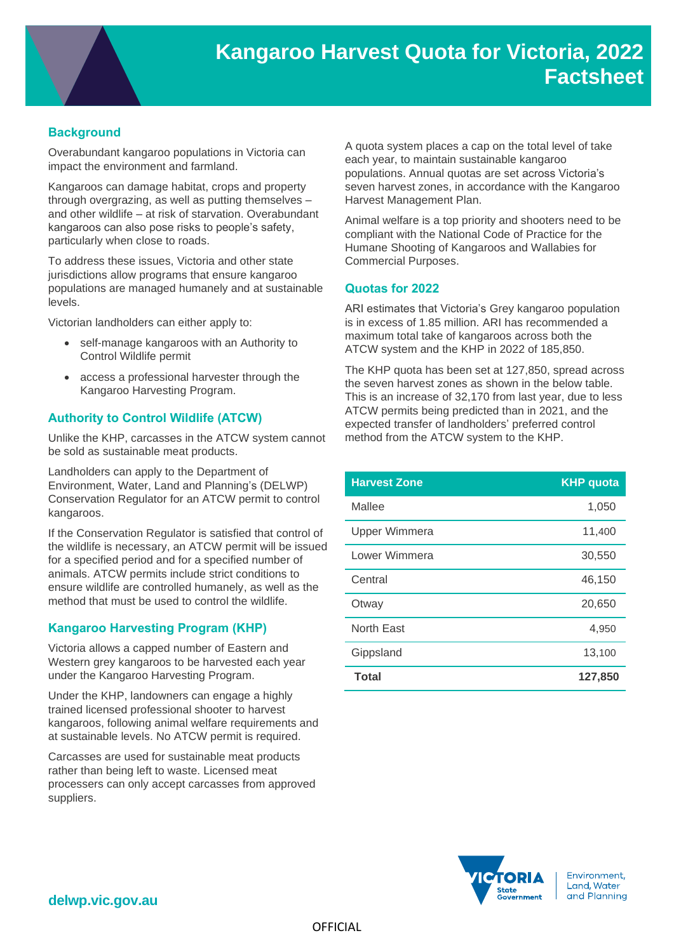

# **Background**

Overabundant kangaroo populations in Victoria can impact the environment and farmland.

Kangaroos can damage habitat, crops and property through overgrazing, as well as putting themselves – and other wildlife – at risk of starvation. Overabundant kangaroos can also pose risks to people's safety, particularly when close to roads.

To address these issues, Victoria and other state jurisdictions allow programs that ensure kangaroo populations are managed humanely and at sustainable levels.

Victorian landholders can either apply to:

- self-manage kangaroos with an Authority to Control Wildlife permit
- access a professional harvester through the Kangaroo Harvesting Program.

# **Authority to Control Wildlife (ATCW)**

Unlike the KHP, carcasses in the ATCW system cannot be sold as sustainable meat products.

Landholders can apply to the Department of Environment, Water, Land and Planning's (DELWP) Conservation Regulator for an ATCW permit to control kangaroos.

If the Conservation Regulator is satisfied that control of the wildlife is necessary, an ATCW permit will be issued for a specified period and for a specified number of animals. ATCW permits include strict conditions to ensure wildlife are controlled humanely, as well as the method that must be used to control the wildlife.

# **Kangaroo Harvesting Program (KHP)**

Victoria allows a capped number of Eastern and Western grey kangaroos to be harvested each year under the Kangaroo Harvesting Program.

Under the KHP, landowners can engage a highly trained licensed professional shooter to harvest kangaroos, following animal welfare requirements and at sustainable levels. No ATCW permit is required.

Carcasses are used for sustainable meat products rather than being left to waste. Licensed meat processers can only accept carcasses from approved suppliers.

A quota system places a cap on the total level of take each year, to maintain sustainable kangaroo populations. Annual quotas are set across Victoria's [seven harvest zones,](https://djpr.vic.gov.au/__data/assets/pdf_file/0004/1913971/Kangaroo-harvest-zones.pdf) in accordance with the Kangaroo Harvest Management Plan.

Animal welfare is a top priority and shooters need to be compliant with the National Code of Practice for the Humane Shooting of Kangaroos and Wallabies for Commercial Purposes.

#### **Quotas for 2022**

ARI estimates that Victoria's Grey kangaroo population is in excess of 1.85 million. ARI has recommended a maximum total take of kangaroos across both the ATCW system and the KHP in 2022 of 185,850.

The KHP quota has been set at 127,850, spread across the seven harvest zones as shown in the below table. This is an increase of 32,170 from last year, due to less ATCW permits being predicted than in 2021, and the expected transfer of landholders' preferred control method from the ATCW system to the KHP.

| <b>Harvest Zone</b>  | <b>KHP</b> quota |
|----------------------|------------------|
| Mallee               | 1,050            |
| <b>Upper Wimmera</b> | 11,400           |
| Lower Wimmera        | 30,550           |
| Central              | 46,150           |
| Otway                | 20,650           |
| North East           | 4,950            |
| Gippsland            | 13,100           |
| <b>Total</b>         | 127,850          |



Environment, Land, Water and Planning